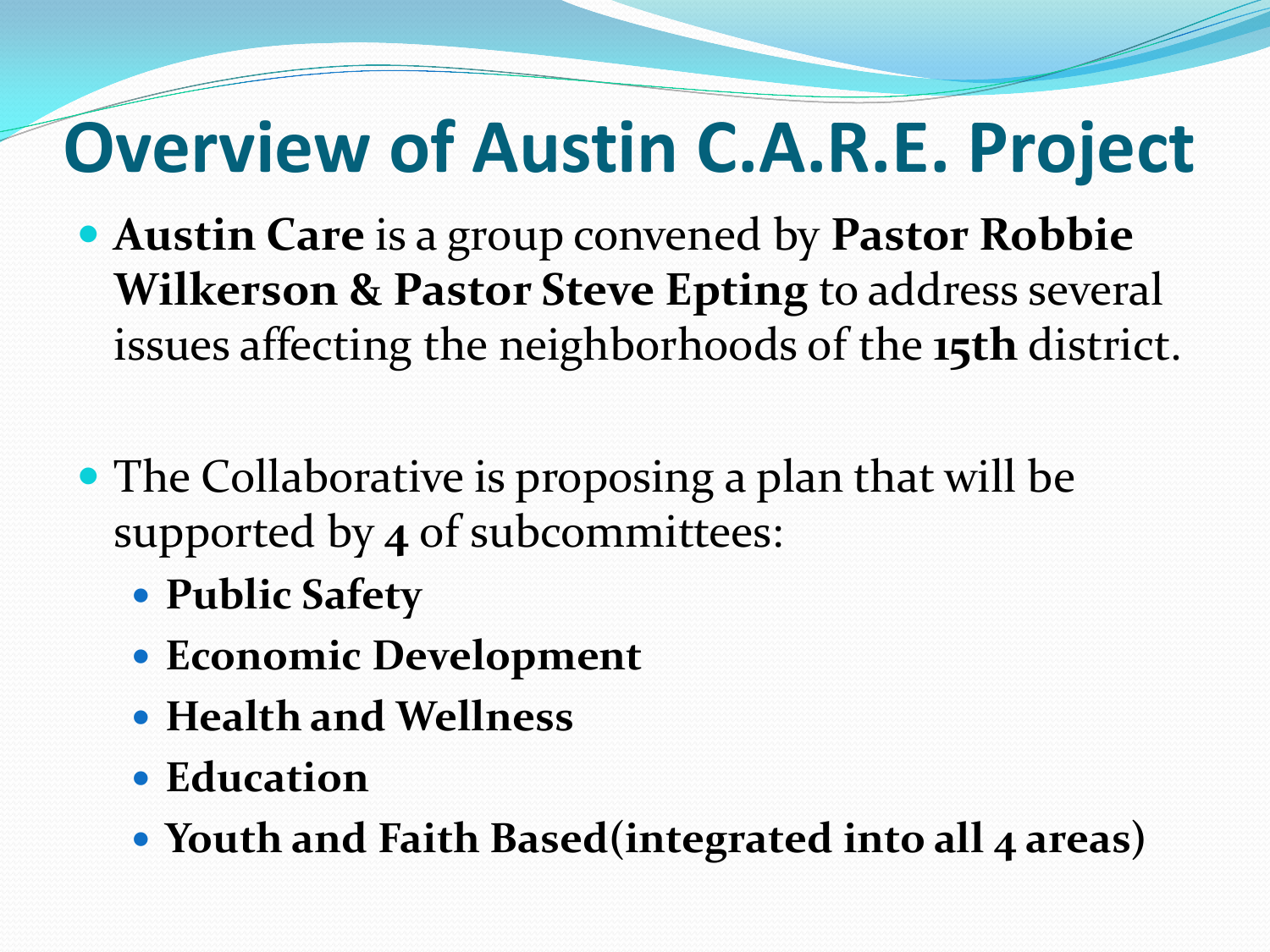## **Overview of Austin C.A.R.E. Project**

- **Austin Care** is a group convened by **Pastor Robbie Wilkerson & Pastor Steve Epting** to address several issues affecting the neighborhoods of the **15th** district.
- The Collaborative is proposing a plan that will be supported by **4** of subcommittees:
	- **Public Safety**
	- **Economic Development**
	- **Health and Wellness**
	- **Education**
	- Youth and Faith Based(integrated into all 4 areas)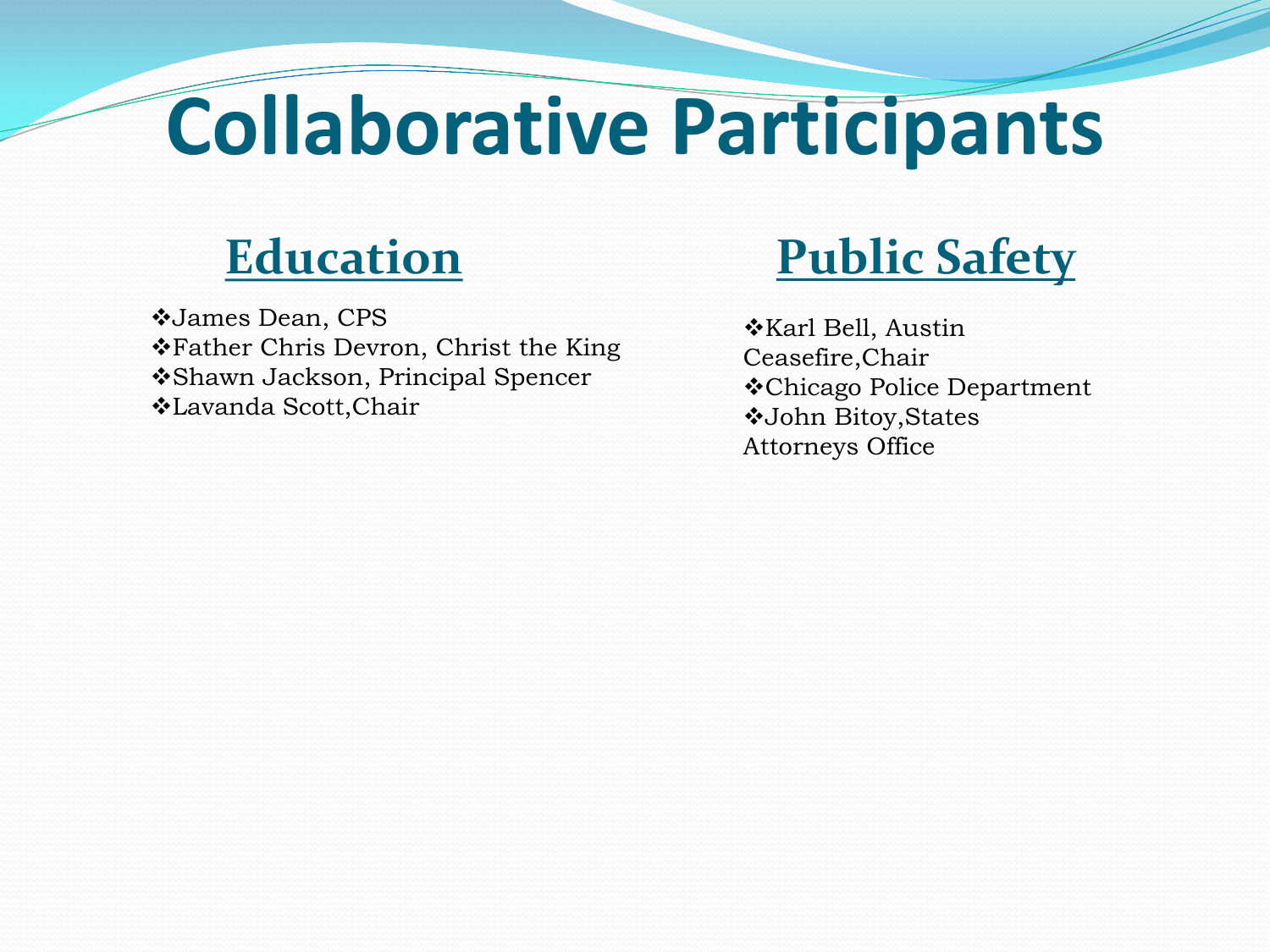# **Collaborative Participants**

James Dean, CPS Father Chris Devron, Christ the King Shawn Jackson, Principal Spencer Lavanda Scott,Chair

### **Education Public Safety**

**\*Karl Bell, Austin** Ceasefire,Chair Chicago Police Department John Bitoy,States Attorneys Office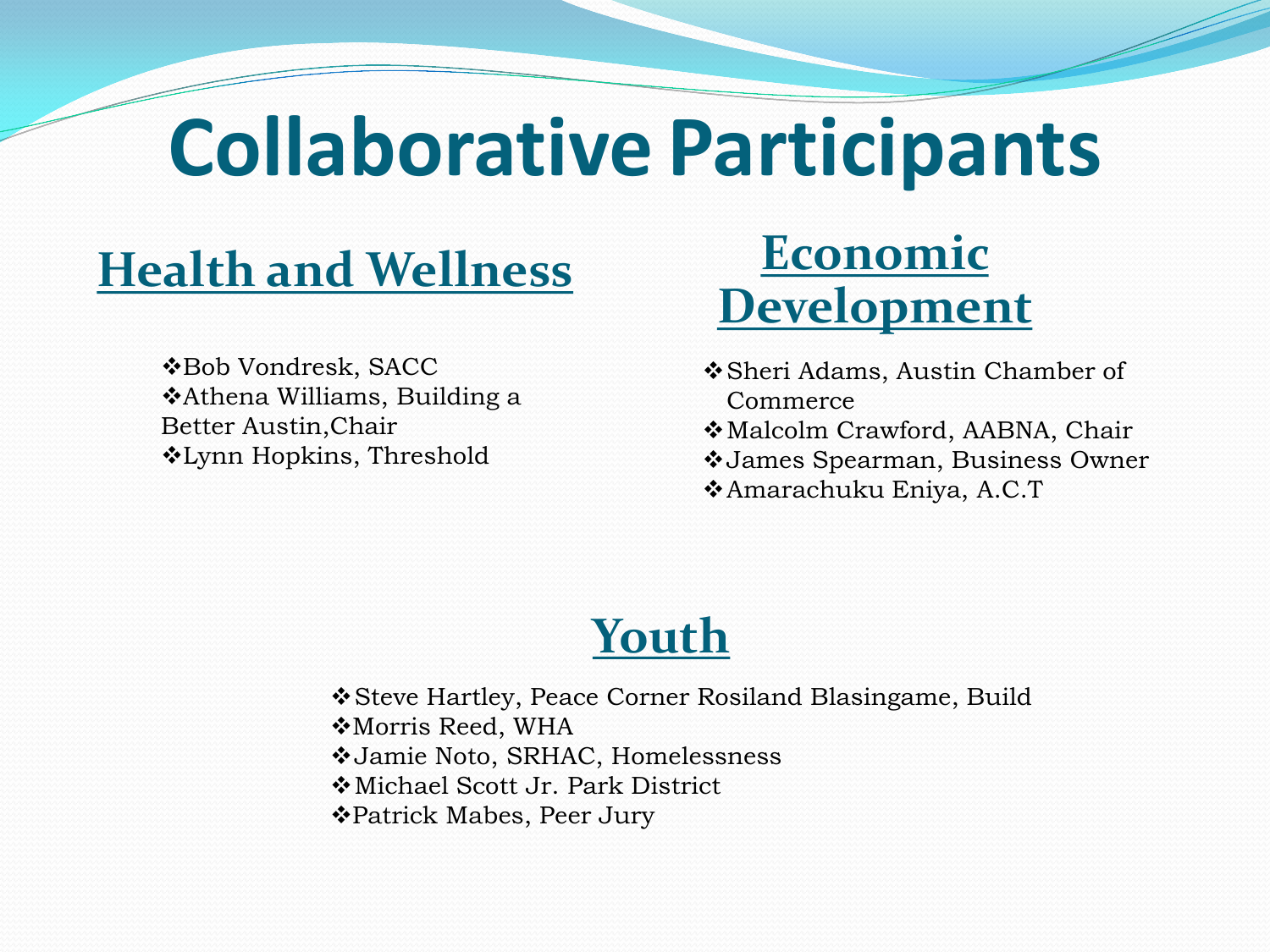# **Collaborative Participants**

## **Health and Wellness Economic**

Bob Vondresk, SACC Athena Williams, Building a Better Austin,Chair Lynn Hopkins, Threshold

# **Development**

Sheri Adams, Austin Chamber of Commerce Malcolm Crawford, AABNA, Chair James Spearman, Business Owner Amarachuku Eniya, A.C.T

### **Youth**

Steve Hartley, Peace Corner Rosiland Blasingame, Build **☆Morris Reed, WHA** Jamie Noto, SRHAC, Homelessness Michael Scott Jr. Park District Patrick Mabes, Peer Jury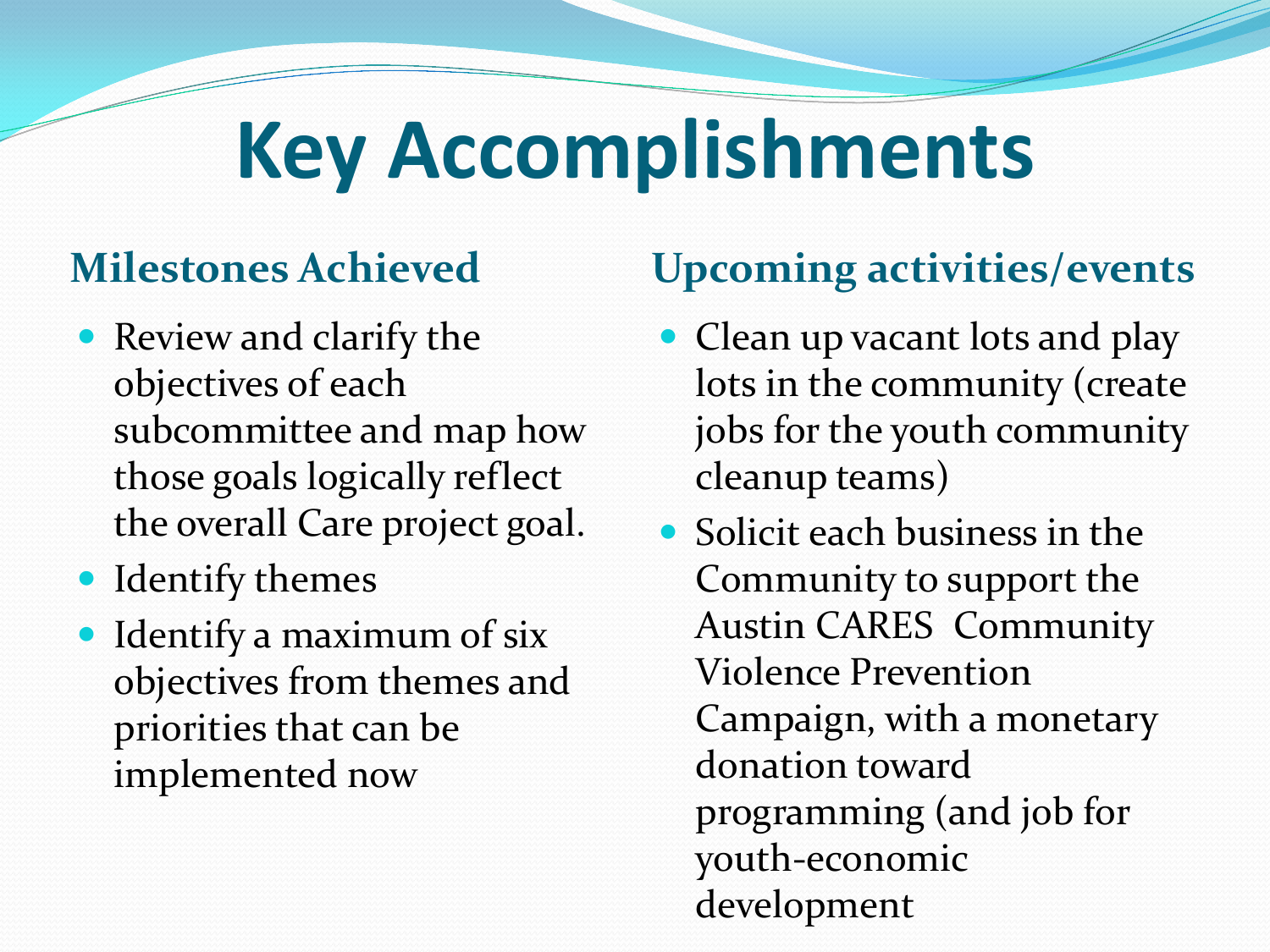# **Key Accomplishments**

- Review and clarify the objectives of each subcommittee and map how those goals logically reflect the overall Care project goal.
- Identify themes
- Identify a maximum of six objectives from themes and priorities that can be implemented now

### **Milestones Achieved Upcoming activities/events**

- Clean up vacant lots and play lots in the community (create jobs for the youth community cleanup teams)
- Solicit each business in the Community to support the Austin CARES Community Violence Prevention Campaign, with a monetary donation toward programming (and job for youth-economic development